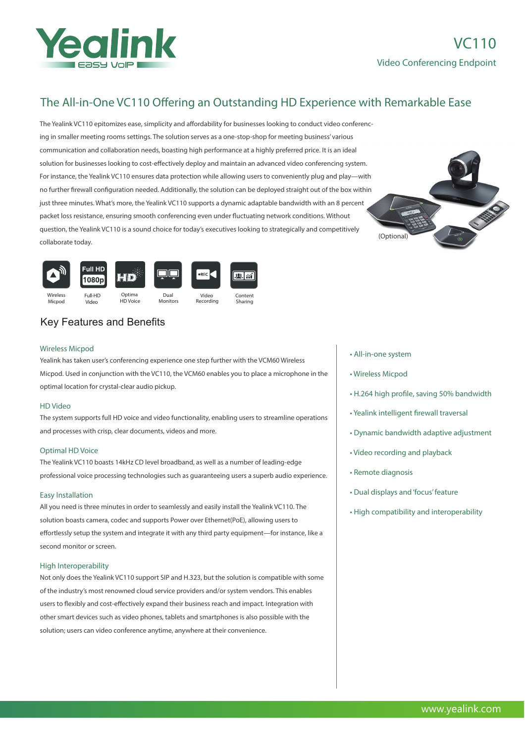

# The All-in-One VC110 Offering an Outstanding HD Experience with Remarkable Ease

The Yealink VC110 epitomizes ease, simplicity and affordability for businesses looking to conduct video conferencing in smaller meeting rooms settings. The solution serves as a one-stop-shop for meeting business' various communication and collaboration needs, boasting high performance at a highly preferred price. It is an ideal solution for businesses looking to cost-effectively deploy and maintain an advanced video conferencing system. For instance, the Yealink VC110 ensures data protection while allowing users to conveniently plug and play—with no further firewall configuration needed. Additionally, the solution can be deployed straight out of the box within just three minutes. What's more, the Yealink VC110 supports a dynamic adaptable bandwidth with an 8 percent packet loss resistance, ensuring smooth conferencing even under fluctuating network conditions. Without question, the Yealink VC110 is a sound choice for today's executives looking to strategically and competitively collaborate today.





## Key Features and Benefits

## Wireless Micpod

Yealink has taken user's conferencing experience one step further with the VCM60 Wireless Micpod. Used in conjunction with the VC110, the VCM60 enables you to place a microphone in the optimal location for crystal-clear audio pickup.

## HD Video

The system supports full HD voice and video functionality, enabling users to streamline operations and processes with crisp, clear documents, videos and more.

#### Optimal HD Voice

The Yealink VC110 boasts 14kHz CD level broadband, as well as a number of leading-edge professional voice processing technologies such as guaranteeing users a superb audio experience.

#### Easy Installation

All you need is three minutes in order to seamlessly and easily install the Yealink VC110. The solution boasts camera, codec and supports Power over Ethernet(PoE), allowing users to effortlessly setup the system and integrate it with any third party equipment-for instance, like a second monitor or screen.

## High Interoperability

Not only does the Yealink VC110 support SIP and H.323, but the solution is compatible with some of the industry's most renowned cloud service providers and/or system vendors. This enables users to flexibly and cost-effectively expand their business reach and impact. Integration with other smart devices such as video phones, tablets and smartphones is also possible with the solution; users can video conference anytime, anywhere at their convenience.

- All-in-one system
- Wireless Micpod
- H.264 high profile, saving 50% bandwidth
- Yealink intelligent firewall traversal
- Dynamic bandwidth adaptive adjustment
- Video recording and playback
- Remote diagnosis
- Dual displays and 'focus' feature
- High compatibility and interoperability